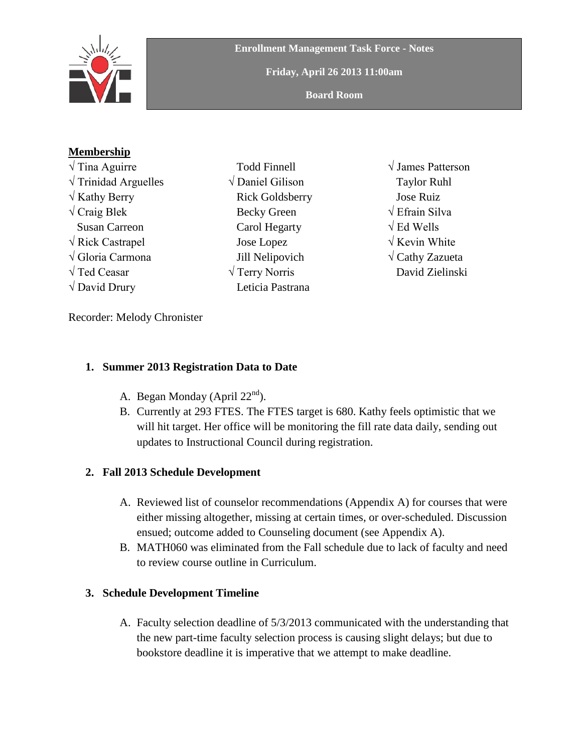

**Friday, April 26 2013 11:00am**

**Board Room**

## **Membership**

- √ Tina Aguirre  $\sqrt{T}$ rinidad Arguelles  $\sqrt{k}$ athy Berry  $\sqrt{\text{Craig Blek}}$  Susan Carreon √ Rick Castrapel √ Gloria Carmona √ Ted Ceasar  $\sqrt{$  David Drury
- Todd Finnell √ Daniel Gilison Rick Goldsberry Becky Green Carol Hegarty Jose Lopez Jill Nelipovich √ Terry Norris Leticia Pastrana
- √ James Patterson Taylor Ruhl Jose Ruiz √ Efrain Silva √ Ed Wells √ Kevin White **√** Cathy Zazueta David Zielinski

Recorder: Melody Chronister

## **1. Summer 2013 Registration Data to Date**

- A. Began Monday (April  $22<sup>nd</sup>$ ).
- B. Currently at 293 FTES. The FTES target is 680. Kathy feels optimistic that we will hit target. Her office will be monitoring the fill rate data daily, sending out updates to Instructional Council during registration.

## **2. Fall 2013 Schedule Development**

- A. Reviewed list of counselor recommendations (Appendix A) for courses that were either missing altogether, missing at certain times, or over-scheduled. Discussion ensued; outcome added to Counseling document (see Appendix A).
- B. MATH060 was eliminated from the Fall schedule due to lack of faculty and need to review course outline in Curriculum.

## **3. Schedule Development Timeline**

A. Faculty selection deadline of 5/3/2013 communicated with the understanding that the new part-time faculty selection process is causing slight delays; but due to bookstore deadline it is imperative that we attempt to make deadline.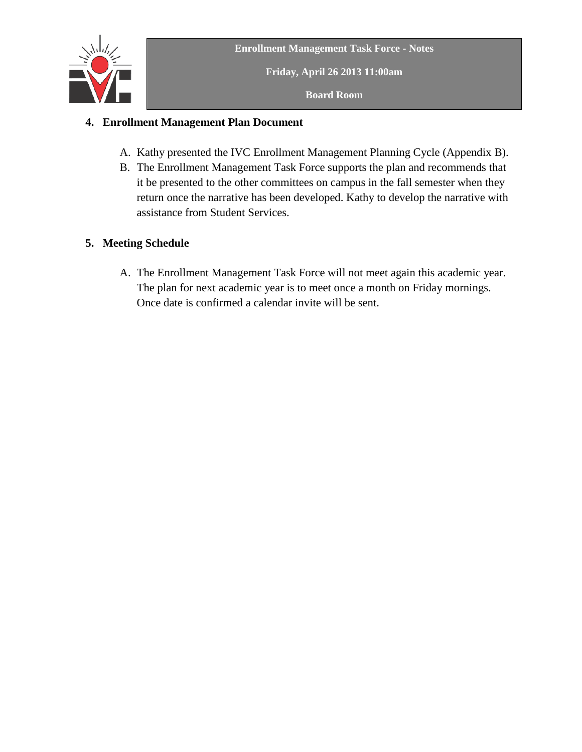

**Friday, April 26 2013 11:00am**

**Board Room**

## **4. Enrollment Management Plan Document**

- A. Kathy presented the IVC Enrollment Management Planning Cycle (Appendix B).
- B. The Enrollment Management Task Force supports the plan and recommends that it be presented to the other committees on campus in the fall semester when they return once the narrative has been developed. Kathy to develop the narrative with assistance from Student Services.

## **5. Meeting Schedule**

A. The Enrollment Management Task Force will not meet again this academic year. The plan for next academic year is to meet once a month on Friday mornings. Once date is confirmed a calendar invite will be sent.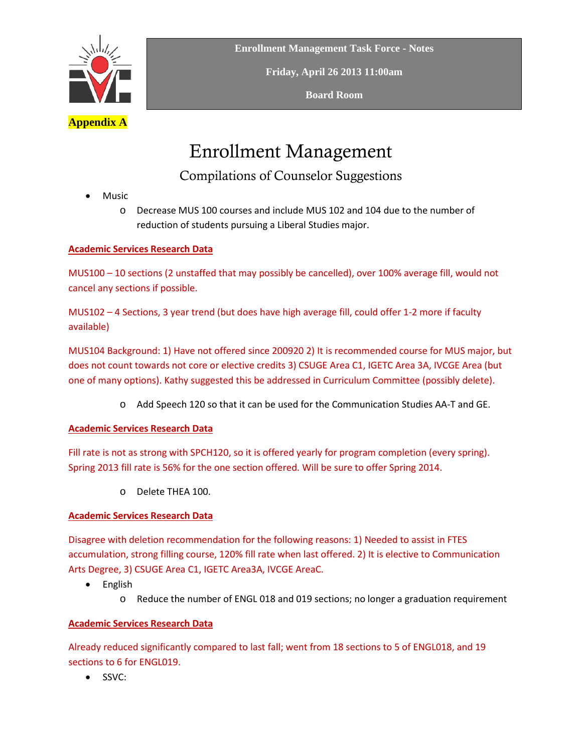

**Friday, April 26 2013 11:00am**

**Board Room**

# Enrollment Management

Compilations of Counselor Suggestions

• Music

o Decrease MUS 100 courses and include MUS 102 and 104 due to the number of reduction of students pursuing a Liberal Studies major.

### **Academic Services Research Data**

MUS100 – 10 sections (2 unstaffed that may possibly be cancelled), over 100% average fill, would not cancel any sections if possible.

MUS102 – 4 Sections, 3 year trend (but does have high average fill, could offer 1-2 more if faculty available)

MUS104 Background: 1) Have not offered since 200920 2) It is recommended course for MUS major, but does not count towards not core or elective credits 3) CSUGE Area C1, IGETC Area 3A, IVCGE Area (but one of many options). Kathy suggested this be addressed in Curriculum Committee (possibly delete).

o Add Speech 120 so that it can be used for the Communication Studies AA-T and GE.

#### **Academic Services Research Data**

Fill rate is not as strong with SPCH120, so it is offered yearly for program completion (every spring). Spring 2013 fill rate is 56% for the one section offered. Will be sure to offer Spring 2014.

o Delete THEA 100.

## **Academic Services Research Data**

Disagree with deletion recommendation for the following reasons: 1) Needed to assist in FTES accumulation, strong filling course, 120% fill rate when last offered. 2) It is elective to Communication Arts Degree, 3) CSUGE Area C1, IGETC Area3A, IVCGE AreaC.

- English
	- o Reduce the number of ENGL 018 and 019 sections; no longer a graduation requirement

#### **Academic Services Research Data**

Already reduced significantly compared to last fall; went from 18 sections to 5 of ENGL018, and 19 sections to 6 for ENGL019.

• SSVC: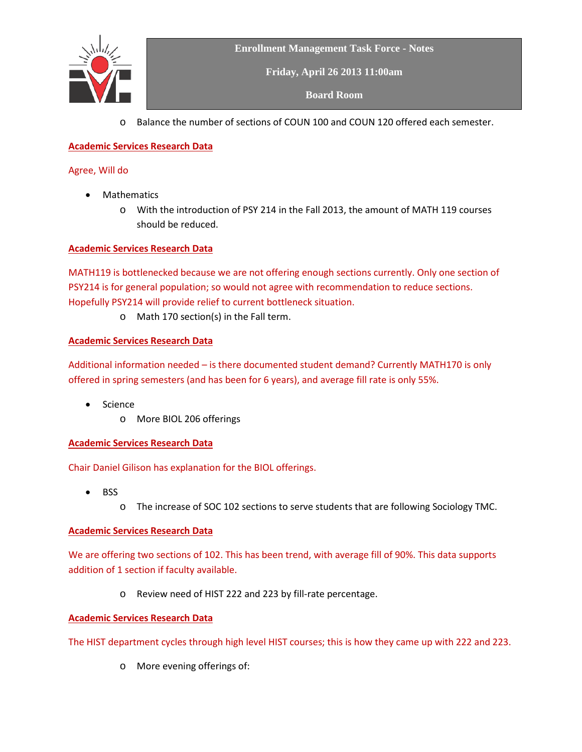

**Friday, April 26 2013 11:00am**

**Board Room**

o Balance the number of sections of COUN 100 and COUN 120 offered each semester.

#### **Academic Services Research Data**

#### Agree, Will do

- Mathematics
	- o With the introduction of PSY 214 in the Fall 2013, the amount of MATH 119 courses should be reduced.

#### **Academic Services Research Data**

MATH119 is bottlenecked because we are not offering enough sections currently. Only one section of PSY214 is for general population; so would not agree with recommendation to reduce sections. Hopefully PSY214 will provide relief to current bottleneck situation.

o Math 170 section(s) in the Fall term.

#### **Academic Services Research Data**

Additional information needed – is there documented student demand? Currently MATH170 is only offered in spring semesters (and has been for 6 years), and average fill rate is only 55%.

- Science
	- o More BIOL 206 offerings

#### **Academic Services Research Data**

Chair Daniel Gilison has explanation for the BIOL offerings.

- BSS
	- o The increase of SOC 102 sections to serve students that are following Sociology TMC.

#### **Academic Services Research Data**

We are offering two sections of 102. This has been trend, with average fill of 90%. This data supports addition of 1 section if faculty available.

o Review need of HIST 222 and 223 by fill-rate percentage.

#### **Academic Services Research Data**

The HIST department cycles through high level HIST courses; this is how they came up with 222 and 223.

o More evening offerings of: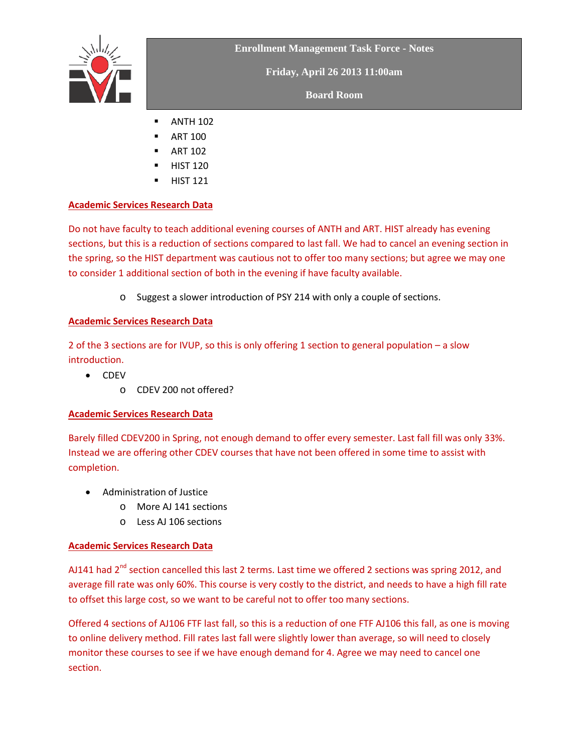

**Friday, April 26 2013 11:00am**

**Board Room**

- $\blacksquare$  ANTH 102
- ART 100
- ART 102
- HIST 120
- HIST 121

## **Academic Services Research Data**

Do not have faculty to teach additional evening courses of ANTH and ART. HIST already has evening sections, but this is a reduction of sections compared to last fall. We had to cancel an evening section in the spring, so the HIST department was cautious not to offer too many sections; but agree we may one to consider 1 additional section of both in the evening if have faculty available.

o Suggest a slower introduction of PSY 214 with only a couple of sections.

## **Academic Services Research Data**

2 of the 3 sections are for IVUP, so this is only offering 1 section to general population – a slow introduction.

- CDEV
	- o CDEV 200 not offered?

## **Academic Services Research Data**

Barely filled CDEV200 in Spring, not enough demand to offer every semester. Last fall fill was only 33%. Instead we are offering other CDEV courses that have not been offered in some time to assist with completion.

- Administration of Justice
	- o More AJ 141 sections
	- o Less AJ 106 sections

## **Academic Services Research Data**

AJ141 had  $2^{nd}$  section cancelled this last 2 terms. Last time we offered 2 sections was spring 2012, and average fill rate was only 60%. This course is very costly to the district, and needs to have a high fill rate to offset this large cost, so we want to be careful not to offer too many sections.

Offered 4 sections of AJ106 FTF last fall, so this is a reduction of one FTF AJ106 this fall, as one is moving to online delivery method. Fill rates last fall were slightly lower than average, so will need to closely monitor these courses to see if we have enough demand for 4. Agree we may need to cancel one section.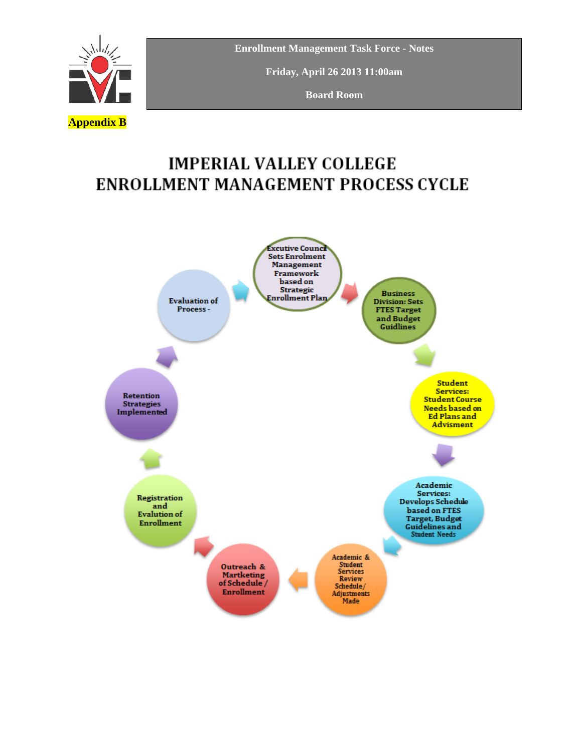

**Friday, April 26 2013 11:00am**

**Board Room**

## **IMPERIAL VALLEY COLLEGE ENROLLMENT MANAGEMENT PROCESS CYCLE**